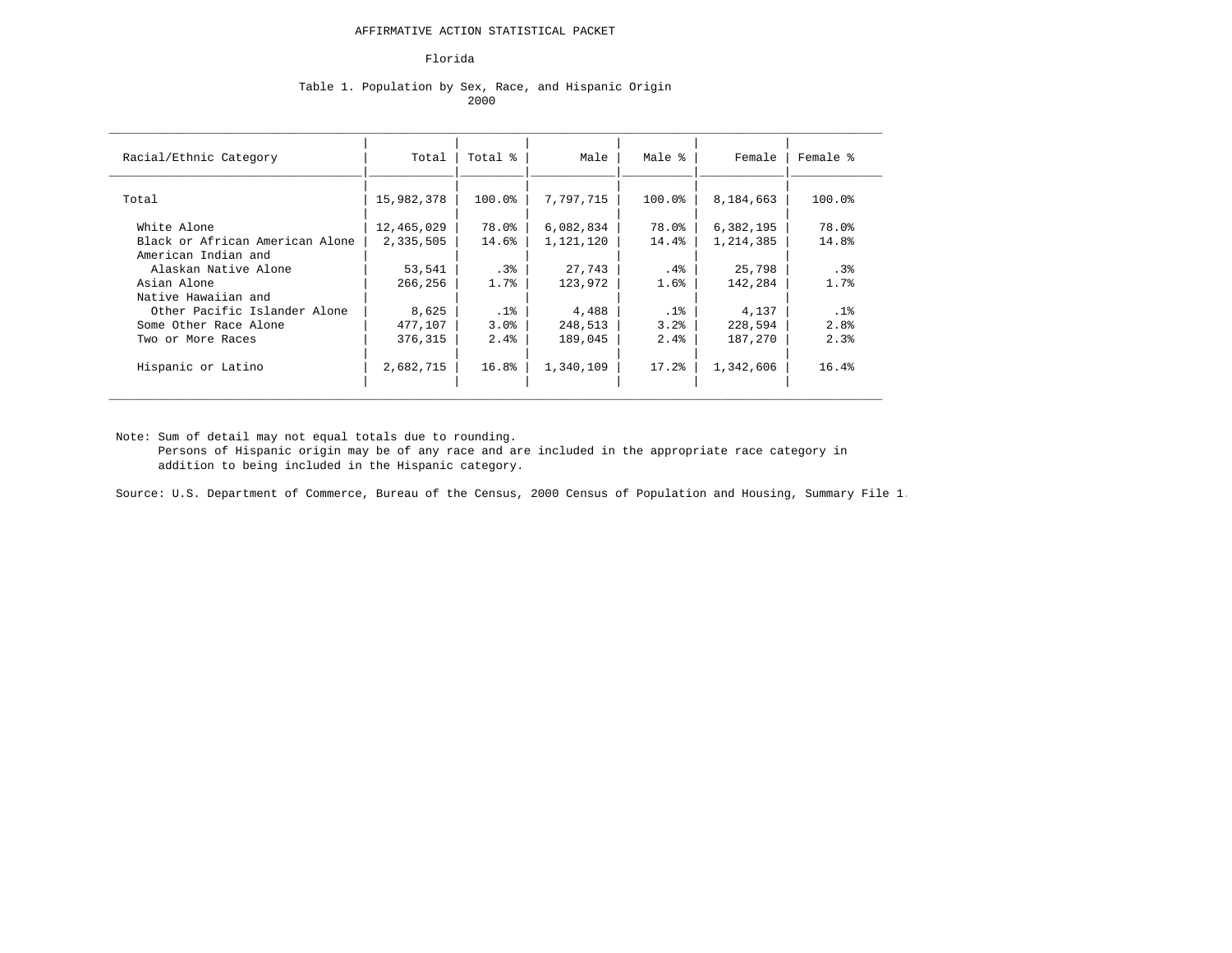#### Florida

### Table 1. Population by Sex, Race, and Hispanic Origin 2000 **2000** 2000 **2000** 2000 **2000**

| Racial/Ethnic Category          | Total      | Total %   | Male      | Male % | Female    | Female %         |
|---------------------------------|------------|-----------|-----------|--------|-----------|------------------|
| Total                           | 15,982,378 | $100.0$ ° | 7,797,715 | 100.0% | 8,184,663 | 100.0%           |
| White Alone                     | 12,465,029 | 78.0%     | 6,082,834 | 78.0%  | 6,382,195 | 78.0%            |
| Black or African American Alone | 2,335,505  | 14.6%     | 1,121,120 | 14.4%  | 1,214,385 | 14.8%            |
| American Indian and             |            |           |           |        |           |                  |
| Alaskan Native Alone            | 53,541     | .3%       | 27,743    | .4%    | 25,798    | .3%              |
| Asian Alone                     | 266,256    | 1.7%      | 123,972   | 1.6%   | 142,284   | 1.7%             |
| Native Hawaiian and             |            |           |           |        |           |                  |
| Other Pacific Islander Alone    | 8,625      | $.1\%$    | 4,488     | .1%    | 4,137     | .1%              |
| Some Other Race Alone           | 477,107    | 3.0%      | 248,513   | 3.2%   | 228,594   | 2.8 <sup>8</sup> |
| Two or More Races               | 376,315    | 2.4%      | 189,045   | 2.4%   | 187,270   | 2.3%             |
| Hispanic or Latino              | 2,682,715  | 16.8%     | 1,340,109 | 17.2%  | 1,342,606 | 16.4%            |

Note: Sum of detail may not equal totals due to rounding.

 Persons of Hispanic origin may be of any race and are included in the appropriate race category in addition to being included in the Hispanic category.

Source: U.S. Department of Commerce, Bureau of the Census, 2000 Census of Population and Housing, Summary File 1.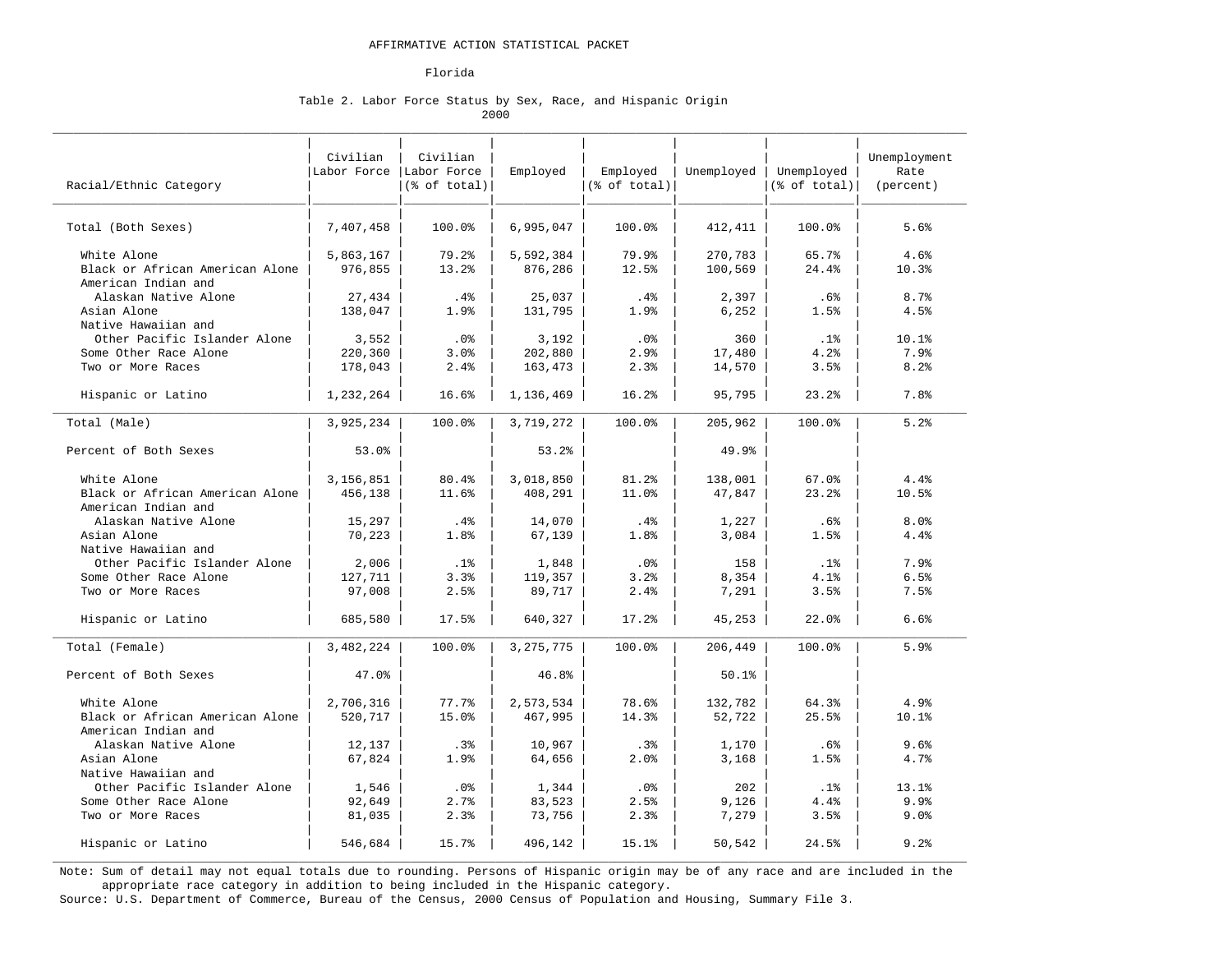#### Florida

#### Table 2. Labor Force Status by Sex, Race, and Hispanic Origin 2000

| Racial/Ethnic Category                                 | Civilian<br>Labor Force | Civilian<br>Labor Force<br>$(\text{6 of total})$ | Employed    | Employed<br>(% of total) | Unemployed | Unemployed<br>$(\$ of total)$ | Unemployment<br>Rate<br>(percent) |
|--------------------------------------------------------|-------------------------|--------------------------------------------------|-------------|--------------------------|------------|-------------------------------|-----------------------------------|
| Total (Both Sexes)                                     | 7,407,458               | 100.0%                                           | 6,995,047   | 100.0%                   | 412,411    | 100.0%                        | 5.6%                              |
| White Alone                                            | 5,863,167               | 79.2%                                            | 5,592,384   | 79.9%                    | 270,783    | 65.7%                         | 4.6%                              |
| Black or African American Alone<br>American Indian and | 976,855                 | 13.2%                                            | 876,286     | 12.5%                    | 100,569    | 24.4%                         | 10.3%                             |
| Alaskan Native Alone                                   | 27,434                  | $.4\%$                                           | 25,037      | .4%                      | 2,397      | .6%                           | 8.7%                              |
| Asian Alone                                            | 138,047                 | 1.9%                                             | 131,795     | 1.9%                     | 6,252      | 1.5%                          | 4.5%                              |
| Native Hawaiian and                                    |                         |                                                  |             |                          |            |                               |                                   |
| Other Pacific Islander Alone                           | 3,552                   | .0%                                              | 3,192       | .0%                      | 360        | .1%                           | 10.1%                             |
| Some Other Race Alone                                  | 220,360                 | 3.0%                                             | 202,880     | 2.9%                     | 17,480     | 4.2%                          | 7.9%                              |
| Two or More Races                                      | 178,043                 | 2.4%                                             | 163,473     | 2.3%                     | 14,570     | 3.5%                          | 8.2%                              |
| Hispanic or Latino                                     | 1,232,264               | 16.6%                                            | 1,136,469   | 16.2%                    | 95,795     | 23.2%                         | 7.8%                              |
| Total (Male)                                           | 3,925,234               | 100.0%                                           | 3,719,272   | 100.0%                   | 205,962    | 100.0%                        | 5.2%                              |
| Percent of Both Sexes                                  | 53.0%                   |                                                  | 53.2%       |                          | 49.9%      |                               |                                   |
| White Alone                                            | 3,156,851               | 80.4%                                            | 3,018,850   | 81.2%                    | 138,001    | 67.0%                         | 4.4%                              |
| Black or African American Alone<br>American Indian and | 456,138                 | 11.6%                                            | 408,291     | 11.0%                    | 47,847     | 23.2%                         | 10.5%                             |
| Alaskan Native Alone                                   | 15,297                  | $.4\%$                                           | 14,070      | .4%                      | 1,227      | .6%                           | 8.0%                              |
| Asian Alone                                            | 70,223                  | 1.8%                                             | 67,139      | 1.8%                     | 3,084      | 1.5%                          | 4.4%                              |
| Native Hawaiian and                                    |                         |                                                  |             |                          |            |                               |                                   |
| Other Pacific Islander Alone                           | 2,006                   | .1%                                              | 1,848       | .0 <sup>8</sup>          | 158        | .1%                           | 7.9%                              |
| Some Other Race Alone                                  | 127,711                 | 3.3%                                             | 119,357     | 3.2%                     | 8,354      | 4.1%                          | 6.5%                              |
| Two or More Races                                      | 97,008                  | 2.5%                                             | 89,717      | 2.4%                     | 7,291      | 3.5%                          | 7.5%                              |
| Hispanic or Latino                                     | 685,580                 | 17.5%                                            | 640,327     | 17.2%                    | 45,253     | 22.0%                         | 6.6%                              |
| Total (Female)                                         | 3,482,224               | 100.0%                                           | 3, 275, 775 | 100.0%                   | 206,449    | 100.0%                        | 5.9%                              |
| Percent of Both Sexes                                  | 47.0%                   |                                                  | 46.8%       |                          | 50.1%      |                               |                                   |
| White Alone                                            | 2,706,316               | 77.7%                                            | 2,573,534   | 78.6%                    | 132,782    | 64.3%                         | 4.9%                              |
| Black or African American Alone<br>American Indian and | 520,717                 | 15.0%                                            | 467,995     | 14.3%                    | 52,722     | 25.5%                         | 10.1%                             |
| Alaskan Native Alone                                   | 12,137                  | .3%                                              | 10,967      | .3%                      | 1,170      | .6%                           | 9.6%                              |
| Asian Alone                                            | 67,824                  | 1.9%                                             | 64,656      | 2.0%                     | 3,168      | 1.5%                          | 4.7%                              |
| Native Hawaiian and                                    |                         |                                                  |             |                          |            |                               |                                   |
| Other Pacific Islander Alone                           | 1,546                   | .0%                                              | 1,344       | .0%                      | 202        | .1%                           | 13.1%                             |
| Some Other Race Alone                                  | 92,649                  | 2.7%                                             | 83,523      | 2.5%                     | 9,126      | 4.4%                          | 9.9%                              |
| Two or More Races                                      | 81,035                  | 2.3%                                             | 73,756      | 2.3%                     | 7,279      | 3.5%                          | 9.0%                              |
| Hispanic or Latino                                     | 546,684                 | 15.7%                                            | 496,142     | 15.1%                    | 50,542     | 24.5%                         | 9.2%                              |

 Note: Sum of detail may not equal totals due to rounding. Persons of Hispanic origin may be of any race and are included in the appropriate race category in addition to being included in the Hispanic category.

Source: U.S. Department of Commerce, Bureau of the Census, 2000 Census of Population and Housing, Summary File 3.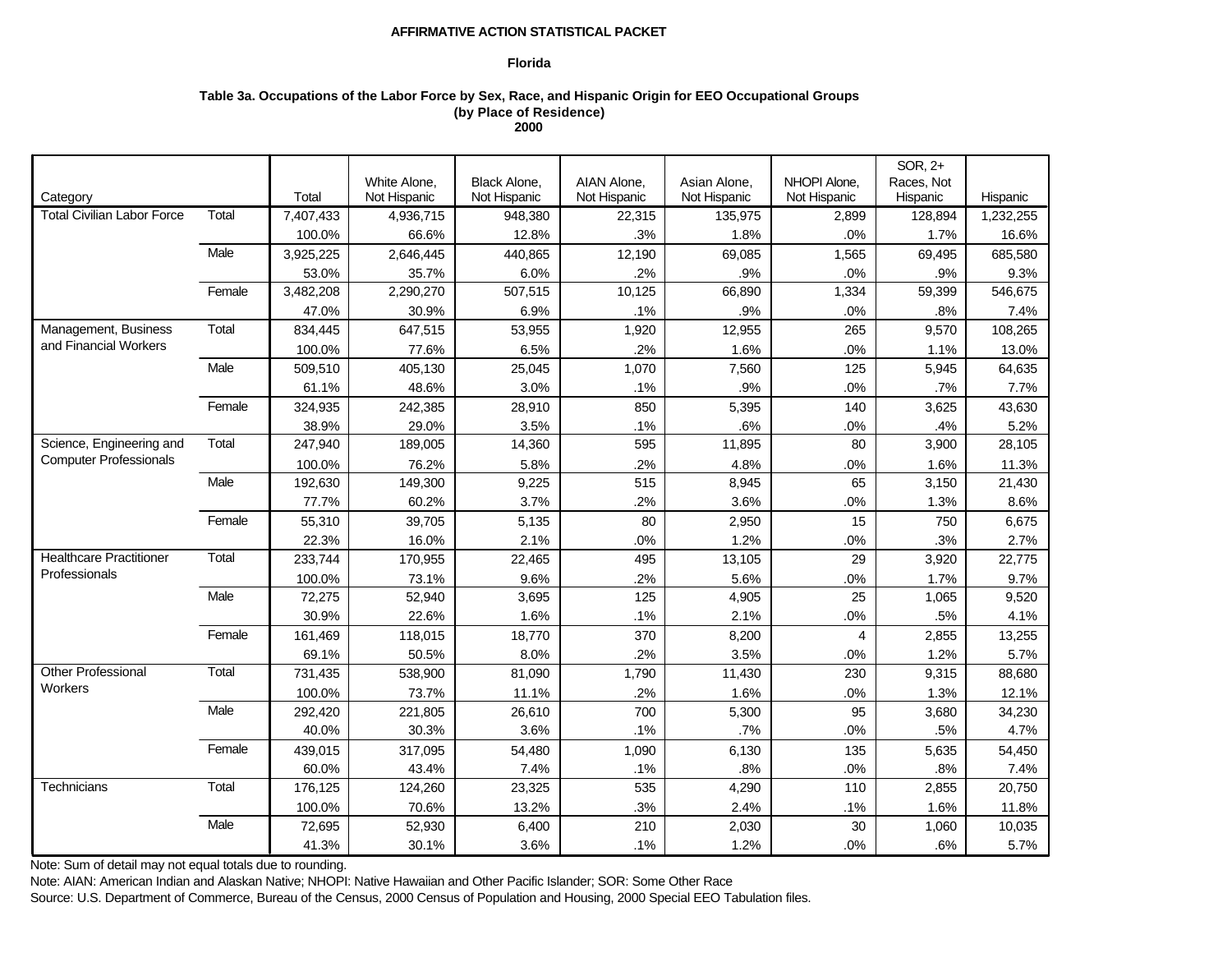## **Florida**

# **Table 3a. Occupations of the Labor Force by Sex, Race, and Hispanic Origin for EEO Occupational Groups (by Place of Residence) 2000**

|                                                           |        |           |              |              |              |              |                | SOR, 2+    |           |
|-----------------------------------------------------------|--------|-----------|--------------|--------------|--------------|--------------|----------------|------------|-----------|
|                                                           |        |           | White Alone, | Black Alone, | AIAN Alone,  | Asian Alone, | NHOPI Alone,   | Races, Not |           |
| Category                                                  |        | Total     | Not Hispanic | Not Hispanic | Not Hispanic | Not Hispanic | Not Hispanic   | Hispanic   | Hispanic  |
| <b>Total Civilian Labor Force</b>                         | Total  | 7,407,433 | 4,936,715    | 948.380      | 22,315       | 135,975      | 2,899          | 128,894    | 1,232,255 |
|                                                           |        | 100.0%    | 66.6%        | 12.8%        | .3%          | 1.8%         | .0%            | 1.7%       | 16.6%     |
|                                                           | Male   | 3,925,225 | 2,646,445    | 440,865      | 12,190       | 69,085       | 1,565          | 69,495     | 685,580   |
|                                                           |        | 53.0%     | 35.7%        | 6.0%         | .2%          | .9%          | .0%            | .9%        | 9.3%      |
|                                                           | Female | 3,482,208 | 2,290,270    | 507,515      | 10,125       | 66,890       | 1,334          | 59,399     | 546,675   |
|                                                           |        | 47.0%     | 30.9%        | 6.9%         | .1%          | .9%          | .0%            | .8%        | 7.4%      |
| Management, Business                                      | Total  | 834,445   | 647,515      | 53,955       | 1,920        | 12,955       | 265            | 9,570      | 108,265   |
| and Financial Workers                                     |        | 100.0%    | 77.6%        | 6.5%         | .2%          | 1.6%         | .0%            | 1.1%       | 13.0%     |
|                                                           | Male   | 509,510   | 405,130      | 25,045       | 1,070        | 7,560        | 125            | 5,945      | 64,635    |
|                                                           |        | 61.1%     | 48.6%        | 3.0%         | .1%          | .9%          | .0%            | .7%        | 7.7%      |
|                                                           | Female | 324,935   | 242,385      | 28,910       | 850          | 5,395        | 140            | 3,625      | 43,630    |
|                                                           |        | 38.9%     | 29.0%        | 3.5%         | .1%          | .6%          | .0%            | .4%        | 5.2%      |
| Science, Engineering and<br><b>Computer Professionals</b> | Total  | 247,940   | 189,005      | 14,360       | 595          | 11,895       | 80             | 3,900      | 28,105    |
|                                                           |        | 100.0%    | 76.2%        | 5.8%         | .2%          | 4.8%         | .0%            | 1.6%       | 11.3%     |
|                                                           | Male   | 192,630   | 149,300      | 9,225        | 515          | 8,945        | 65             | 3,150      | 21,430    |
|                                                           |        | 77.7%     | 60.2%        | 3.7%         | .2%          | 3.6%         | .0%            | 1.3%       | 8.6%      |
|                                                           | Female | 55,310    | 39,705       | 5,135        | 80           | 2,950        | 15             | 750        | 6,675     |
|                                                           |        | 22.3%     | 16.0%        | 2.1%         | .0%          | 1.2%         | .0%            | .3%        | 2.7%      |
| <b>Healthcare Practitioner</b>                            | Total  | 233,744   | 170,955      | 22,465       | 495          | 13,105       | 29             | 3,920      | 22,775    |
| Professionals                                             |        | 100.0%    | 73.1%        | 9.6%         | .2%          | 5.6%         | .0%            | 1.7%       | 9.7%      |
|                                                           | Male   | 72,275    | 52,940       | 3,695        | 125          | 4,905        | 25             | 1,065      | 9,520     |
|                                                           |        | 30.9%     | 22.6%        | 1.6%         | .1%          | 2.1%         | .0%            | .5%        | 4.1%      |
|                                                           | Female | 161,469   | 118,015      | 18,770       | 370          | 8,200        | $\overline{4}$ | 2,855      | 13,255    |
|                                                           |        | 69.1%     | 50.5%        | 8.0%         | .2%          | 3.5%         | .0%            | 1.2%       | 5.7%      |
| Other Professional                                        | Total  | 731,435   | 538,900      | 81,090       | 1,790        | 11,430       | 230            | 9,315      | 88,680    |
| <b>Workers</b>                                            |        | 100.0%    | 73.7%        | 11.1%        | .2%          | 1.6%         | $.0\%$         | 1.3%       | 12.1%     |
|                                                           | Male   | 292,420   | 221,805      | 26,610       | 700          | 5,300        | 95             | 3,680      | 34,230    |
|                                                           |        | 40.0%     | 30.3%        | 3.6%         | .1%          | .7%          | .0%            | .5%        | 4.7%      |
|                                                           | Female | 439,015   | 317,095      | 54,480       | 1,090        | 6,130        | 135            | 5,635      | 54,450    |
|                                                           |        | 60.0%     | 43.4%        | 7.4%         | .1%          | .8%          | .0%            | .8%        | 7.4%      |
| Technicians                                               | Total  | 176,125   | 124,260      | 23,325       | 535          | 4,290        | 110            | 2,855      | 20,750    |
|                                                           |        | 100.0%    | 70.6%        | 13.2%        | .3%          | 2.4%         | .1%            | 1.6%       | 11.8%     |
|                                                           | Male   | 72,695    | 52,930       | 6,400        | 210          | 2,030        | 30             | 1,060      | 10,035    |
|                                                           |        | 41.3%     | 30.1%        | 3.6%         | .1%          | 1.2%         | .0%            | .6%        | 5.7%      |

Note: Sum of detail may not equal totals due to rounding.

Note: AIAN: American Indian and Alaskan Native; NHOPI: Native Hawaiian and Other Pacific Islander; SOR: Some Other Race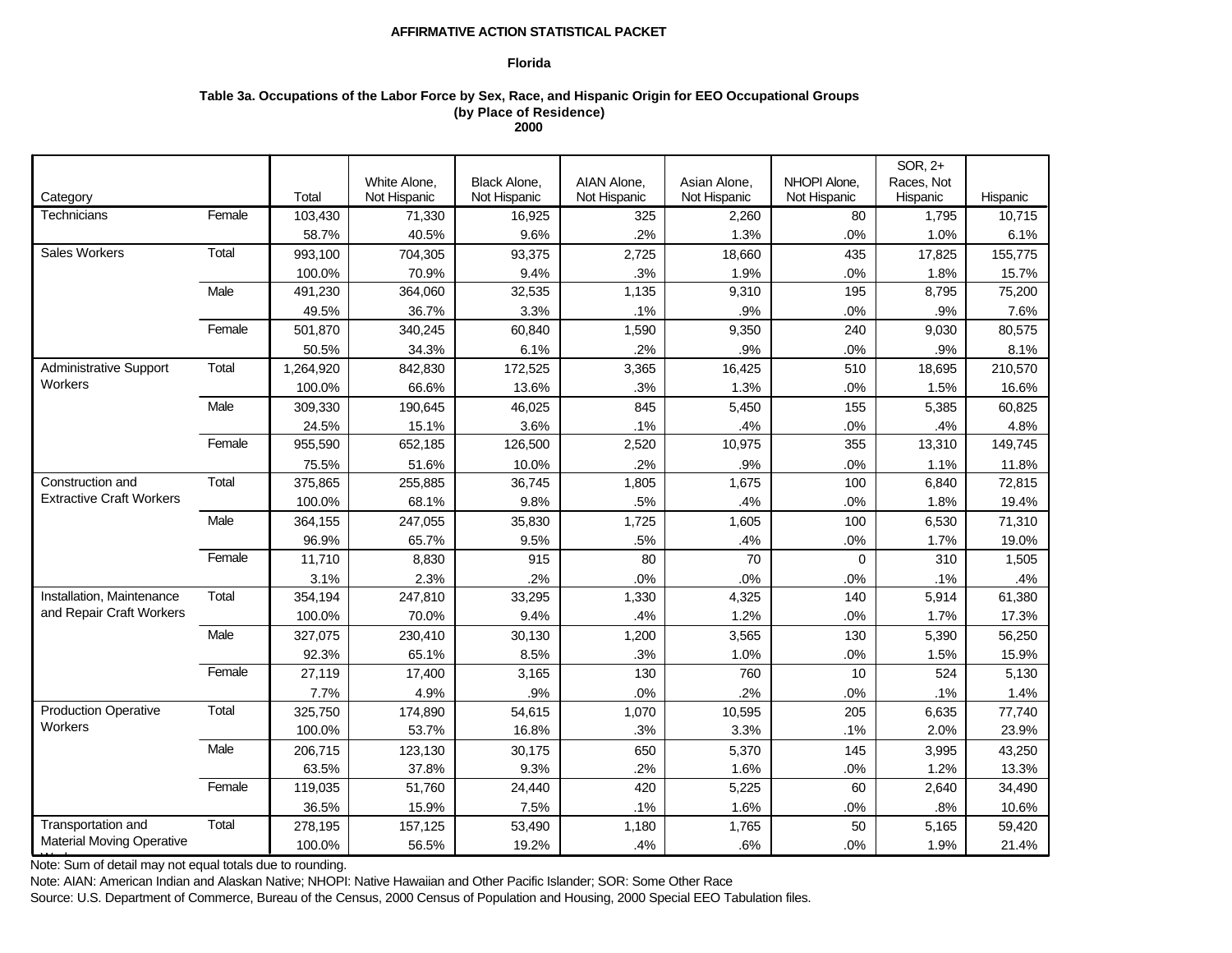## **Florida**

# **Table 3a. Occupations of the Labor Force by Sex, Race, and Hispanic Origin for EEO Occupational Groups (by Place of Residence) 2000**

|                                  |        |           |              |              |              |              |              | SOR, 2+    |          |
|----------------------------------|--------|-----------|--------------|--------------|--------------|--------------|--------------|------------|----------|
|                                  |        |           | White Alone, | Black Alone, | AIAN Alone,  | Asian Alone, | NHOPI Alone, | Races, Not |          |
| Category                         |        | Total     | Not Hispanic | Not Hispanic | Not Hispanic | Not Hispanic | Not Hispanic | Hispanic   | Hispanic |
| Technicians                      | Female | 103,430   | 71,330       | 16.925       | 325          | 2,260        | 80           | 1,795      | 10.715   |
|                                  |        | 58.7%     | 40.5%        | 9.6%         | .2%          | 1.3%         | .0%          | 1.0%       | 6.1%     |
| <b>Sales Workers</b>             | Total  | 993,100   | 704,305      | 93,375       | 2,725        | 18,660       | 435          | 17,825     | 155,775  |
|                                  |        | 100.0%    | 70.9%        | 9.4%         | .3%          | 1.9%         | .0%          | 1.8%       | 15.7%    |
|                                  | Male   | 491,230   | 364,060      | 32,535       | 1,135        | 9,310        | 195          | 8,795      | 75,200   |
|                                  |        | 49.5%     | 36.7%        | 3.3%         | .1%          | .9%          | .0%          | .9%        | 7.6%     |
|                                  | Female | 501,870   | 340,245      | 60,840       | 1,590        | 9,350        | 240          | 9,030      | 80,575   |
|                                  |        | 50.5%     | 34.3%        | 6.1%         | .2%          | .9%          | .0%          | .9%        | 8.1%     |
| <b>Administrative Support</b>    | Total  | 1,264,920 | 842,830      | 172,525      | 3,365        | 16,425       | 510          | 18,695     | 210,570  |
| Workers                          |        | 100.0%    | 66.6%        | 13.6%        | .3%          | 1.3%         | .0%          | 1.5%       | 16.6%    |
|                                  | Male   | 309,330   | 190,645      | 46,025       | 845          | 5,450        | 155          | 5,385      | 60,825   |
|                                  |        | 24.5%     | 15.1%        | 3.6%         | .1%          | .4%          | .0%          | .4%        | 4.8%     |
|                                  | Female | 955,590   | 652,185      | 126,500      | 2,520        | 10,975       | 355          | 13,310     | 149,745  |
|                                  |        | 75.5%     | 51.6%        | 10.0%        | .2%          | .9%          | .0%          | 1.1%       | 11.8%    |
| Construction and                 | Total  | 375,865   | 255,885      | 36,745       | 1,805        | 1,675        | 100          | 6,840      | 72,815   |
| <b>Extractive Craft Workers</b>  |        | 100.0%    | 68.1%        | 9.8%         | .5%          | .4%          | .0%          | 1.8%       | 19.4%    |
|                                  | Male   | 364,155   | 247,055      | 35,830       | 1,725        | 1,605        | 100          | 6,530      | 71,310   |
|                                  |        | 96.9%     | 65.7%        | 9.5%         | .5%          | .4%          | .0%          | 1.7%       | 19.0%    |
|                                  | Female | 11,710    | 8,830        | 915          | 80           | 70           | $\mathbf 0$  | 310        | 1,505    |
|                                  |        | 3.1%      | 2.3%         | .2%          | .0%          | .0%          | .0%          | .1%        | .4%      |
| Installation, Maintenance        | Total  | 354,194   | 247,810      | 33,295       | 1,330        | 4,325        | 140          | 5,914      | 61,380   |
| and Repair Craft Workers         |        | 100.0%    | 70.0%        | 9.4%         | .4%          | 1.2%         | .0%          | 1.7%       | 17.3%    |
|                                  | Male   | 327,075   | 230,410      | 30,130       | 1,200        | 3,565        | 130          | 5,390      | 56,250   |
|                                  |        | 92.3%     | 65.1%        | 8.5%         | .3%          | 1.0%         | .0%          | 1.5%       | 15.9%    |
|                                  | Female | 27,119    | 17,400       | 3,165        | 130          | 760          | 10           | 524        | 5,130    |
|                                  |        | 7.7%      | 4.9%         | .9%          | .0%          | .2%          | .0%          | $.1\%$     | 1.4%     |
| <b>Production Operative</b>      | Total  | 325,750   | 174,890      | 54,615       | 1,070        | 10,595       | 205          | 6,635      | 77,740   |
| Workers                          |        | 100.0%    | 53.7%        | 16.8%        | .3%          | 3.3%         | .1%          | 2.0%       | 23.9%    |
|                                  | Male   | 206,715   | 123,130      | 30,175       | 650          | 5,370        | 145          | 3,995      | 43,250   |
|                                  |        | 63.5%     | 37.8%        | 9.3%         | .2%          | 1.6%         | .0%          | 1.2%       | 13.3%    |
|                                  | Female | 119,035   | 51,760       | 24,440       | 420          | 5,225        | 60           | 2,640      | 34,490   |
|                                  |        | 36.5%     | 15.9%        | 7.5%         | .1%          | 1.6%         | .0%          | .8%        | 10.6%    |
| Transportation and               | Total  | 278,195   | 157,125      | 53,490       | 1,180        | 1,765        | 50           | 5,165      | 59,420   |
| <b>Material Moving Operative</b> |        | 100.0%    | 56.5%        | 19.2%        | .4%          | .6%          | .0%          | 1.9%       | 21.4%    |

**Note: Sum of detail may not equal totals due to rounding.** 

Note: AIAN: American Indian and Alaskan Native; NHOPI: Native Hawaiian and Other Pacific Islander; SOR: Some Other Race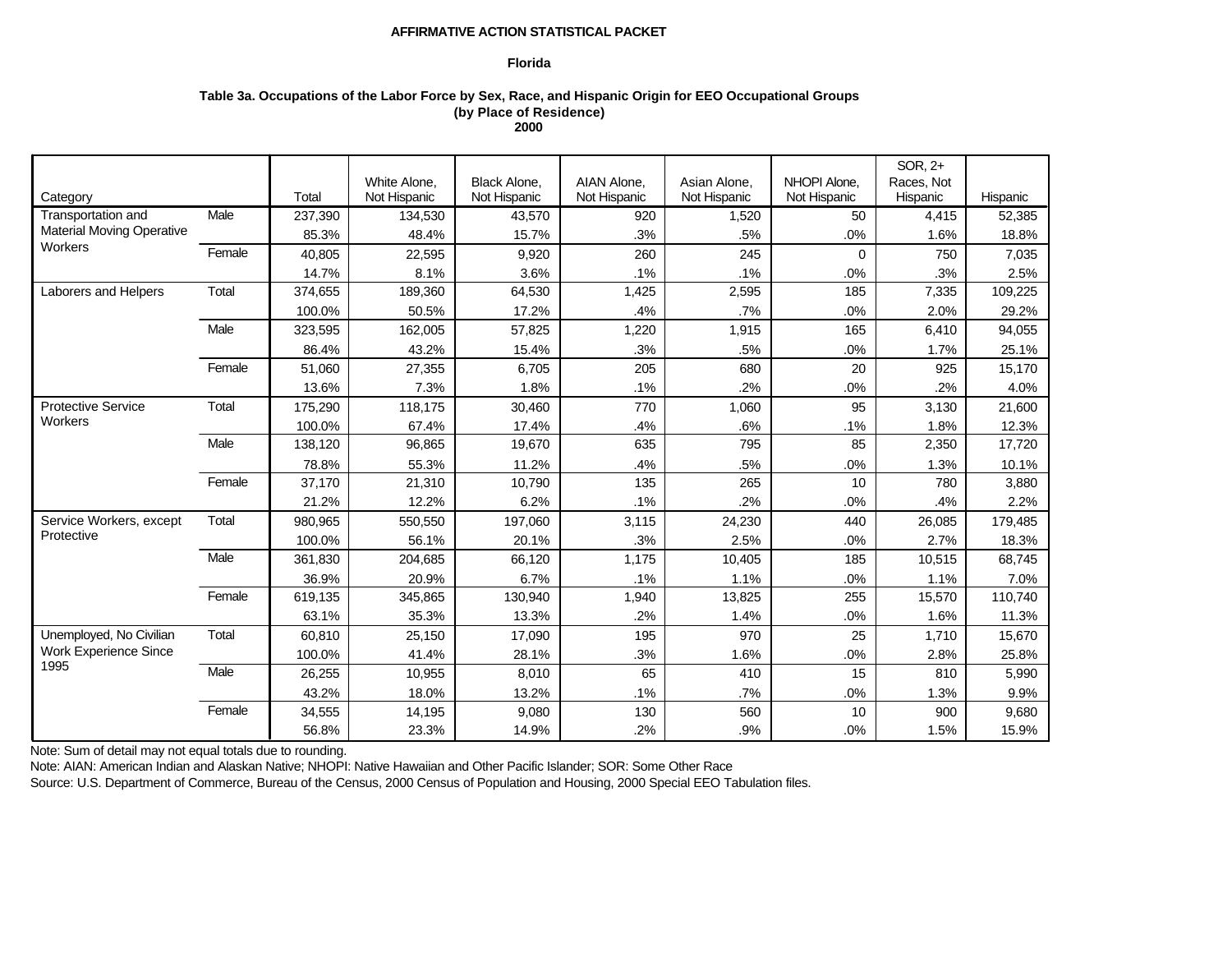## **Florida**

# **Table 3a. Occupations of the Labor Force by Sex, Race, and Hispanic Origin for EEO Occupational Groups (by Place of Residence) 2000**

|                                  |        |         |                              |                              |                             |                              |                              | SOR, 2+    |          |
|----------------------------------|--------|---------|------------------------------|------------------------------|-----------------------------|------------------------------|------------------------------|------------|----------|
|                                  |        | Total   | White Alone,<br>Not Hispanic | Black Alone,<br>Not Hispanic | AIAN Alone,<br>Not Hispanic | Asian Alone,<br>Not Hispanic | NHOPI Alone.<br>Not Hispanic | Races, Not | Hispanic |
| Category<br>Transportation and   | Male   |         |                              |                              |                             |                              | 50                           | Hispanic   |          |
| <b>Material Moving Operative</b> |        | 237.390 | 134,530                      | 43.570                       | 920                         | 1,520                        |                              | 4.415      | 52,385   |
| Workers                          |        | 85.3%   | 48.4%                        | 15.7%                        | .3%                         | .5%                          | .0%                          | 1.6%       | 18.8%    |
|                                  | Female | 40,805  | 22,595                       | 9,920                        | 260                         | 245                          | 0                            | 750        | 7,035    |
|                                  |        | 14.7%   | 8.1%                         | 3.6%                         | .1%                         | $.1\%$                       | .0%                          | .3%        | 2.5%     |
| Laborers and Helpers             | Total  | 374,655 | 189,360                      | 64,530                       | 1,425                       | 2,595                        | 185                          | 7,335      | 109,225  |
|                                  |        | 100.0%  | 50.5%                        | 17.2%                        | .4%                         | .7%                          | .0%                          | 2.0%       | 29.2%    |
|                                  | Male   | 323,595 | 162,005                      | 57,825                       | 1,220                       | 1,915                        | 165                          | 6,410      | 94,055   |
|                                  |        | 86.4%   | 43.2%                        | 15.4%                        | .3%                         | .5%                          | .0%                          | 1.7%       | 25.1%    |
|                                  | Female | 51,060  | 27,355                       | 6,705                        | 205                         | 680                          | 20                           | 925        | 15,170   |
|                                  |        | 13.6%   | 7.3%                         | 1.8%                         | .1%                         | .2%                          | .0%                          | .2%        | 4.0%     |
| <b>Protective Service</b>        | Total  | 175,290 | 118,175                      | 30,460                       | 770                         | 1,060                        | 95                           | 3,130      | 21,600   |
| Workers                          |        | 100.0%  | 67.4%                        | 17.4%                        | .4%                         | .6%                          | .1%                          | 1.8%       | 12.3%    |
|                                  | Male   | 138.120 | 96,865                       | 19,670                       | 635                         | 795                          | 85                           | 2,350      | 17,720   |
|                                  |        | 78.8%   | 55.3%                        | 11.2%                        | .4%                         | .5%                          | .0%                          | 1.3%       | 10.1%    |
|                                  | Female | 37,170  | 21,310                       | 10,790                       | 135                         | 265                          | 10                           | 780        | 3,880    |
|                                  |        | 21.2%   | 12.2%                        | 6.2%                         | .1%                         | .2%                          | .0%                          | .4%        | 2.2%     |
| Service Workers, except          | Total  | 980,965 | 550,550                      | 197,060                      | 3,115                       | 24,230                       | 440                          | 26,085     | 179,485  |
| Protective                       |        | 100.0%  | 56.1%                        | 20.1%                        | .3%                         | 2.5%                         | .0%                          | 2.7%       | 18.3%    |
|                                  | Male   | 361.830 | 204,685                      | 66,120                       | 1,175                       | 10,405                       | 185                          | 10,515     | 68,745   |
|                                  |        | 36.9%   | 20.9%                        | 6.7%                         | .1%                         | 1.1%                         | .0%                          | 1.1%       | 7.0%     |
|                                  | Female | 619,135 | 345,865                      | 130,940                      | 1,940                       | 13,825                       | 255                          | 15,570     | 110.740  |
|                                  |        | 63.1%   | 35.3%                        | 13.3%                        | .2%                         | 1.4%                         | .0%                          | 1.6%       | 11.3%    |
| Unemployed, No Civilian          | Total  | 60.810  | 25,150                       | 17,090                       | 195                         | 970                          | 25                           | 1.710      | 15,670   |
| <b>Work Experience Since</b>     |        | 100.0%  | 41.4%                        | 28.1%                        | .3%                         | 1.6%                         | .0%                          | 2.8%       | 25.8%    |
| 1995                             | Male   | 26,255  | 10,955                       | 8,010                        | 65                          | 410                          | 15                           | 810        | 5,990    |
|                                  |        | 43.2%   | 18.0%                        | 13.2%                        | .1%                         | .7%                          | .0%                          | 1.3%       | 9.9%     |
|                                  | Female | 34,555  | 14,195                       | 9,080                        | 130                         | 560                          | 10                           | 900        | 9.680    |
|                                  |        | 56.8%   | 23.3%                        | 14.9%                        | .2%                         | .9%                          | .0%                          | 1.5%       | 15.9%    |

Note: Sum of detail may not equal totals due to rounding.

Note: AIAN: American Indian and Alaskan Native; NHOPI: Native Hawaiian and Other Pacific Islander; SOR: Some Other Race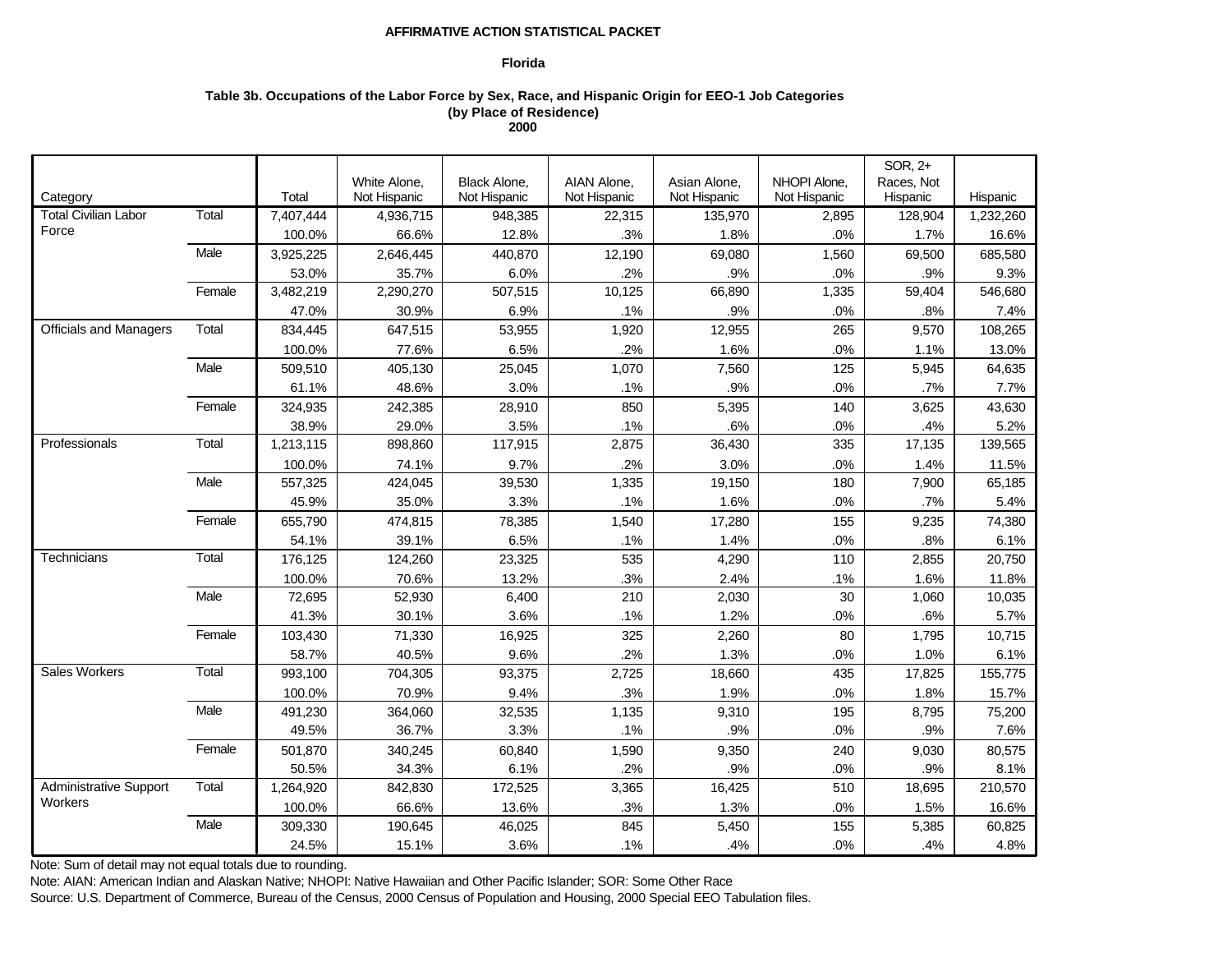## **Florida**

# **Table 3b. Occupations of the Labor Force by Sex, Race, and Hispanic Origin for EEO-1 Job Categories (by Place of Residence) 2000**

|                               |        |           |              |                     |              |              |              | SOR, 2+    |           |
|-------------------------------|--------|-----------|--------------|---------------------|--------------|--------------|--------------|------------|-----------|
|                               |        |           | White Alone, | <b>Black Alone,</b> | AIAN Alone,  | Asian Alone, | NHOPI Alone, | Races, Not |           |
| Category                      |        | Total     | Not Hispanic | Not Hispanic        | Not Hispanic | Not Hispanic | Not Hispanic | Hispanic   | Hispanic  |
| <b>Total Civilian Labor</b>   | Total  | 7,407,444 | 4,936,715    | 948,385             | 22,315       | 135,970      | 2,895        | 128,904    | 1,232,260 |
| Force                         |        | 100.0%    | 66.6%        | 12.8%               | .3%          | 1.8%         | .0%          | 1.7%       | 16.6%     |
|                               | Male   | 3,925,225 | 2,646,445    | 440,870             | 12,190       | 69,080       | 1,560        | 69,500     | 685,580   |
|                               |        | 53.0%     | 35.7%        | 6.0%                | .2%          | .9%          | .0%          | .9%        | 9.3%      |
|                               | Female | 3,482,219 | 2,290,270    | 507,515             | 10,125       | 66,890       | 1,335        | 59,404     | 546,680   |
|                               |        | 47.0%     | 30.9%        | 6.9%                | .1%          | .9%          | .0%          | .8%        | 7.4%      |
| <b>Officials and Managers</b> | Total  | 834,445   | 647,515      | 53,955              | 1,920        | 12,955       | 265          | 9,570      | 108,265   |
|                               |        | 100.0%    | 77.6%        | 6.5%                | .2%          | 1.6%         | .0%          | 1.1%       | 13.0%     |
|                               | Male   | 509,510   | 405,130      | 25,045              | 1,070        | 7,560        | 125          | 5,945      | 64,635    |
|                               |        | 61.1%     | 48.6%        | 3.0%                | .1%          | .9%          | .0%          | .7%        | 7.7%      |
|                               | Female | 324,935   | 242,385      | 28,910              | 850          | 5,395        | 140          | 3,625      | 43,630    |
|                               |        | 38.9%     | 29.0%        | 3.5%                | .1%          | .6%          | .0%          | .4%        | 5.2%      |
| Professionals                 | Total  | 1,213,115 | 898,860      | 117,915             | 2,875        | 36,430       | 335          | 17,135     | 139,565   |
|                               |        | 100.0%    | 74.1%        | 9.7%                | .2%          | 3.0%         | .0%          | 1.4%       | 11.5%     |
|                               | Male   | 557,325   | 424,045      | 39,530              | 1,335        | 19,150       | 180          | 7,900      | 65,185    |
|                               |        | 45.9%     | 35.0%        | 3.3%                | .1%          | 1.6%         | $.0\%$       | .7%        | 5.4%      |
|                               | Female | 655,790   | 474,815      | 78,385              | 1,540        | 17,280       | 155          | 9,235      | 74,380    |
|                               |        | 54.1%     | 39.1%        | 6.5%                | .1%          | 1.4%         | .0%          | .8%        | 6.1%      |
| Technicians                   | Total  | 176,125   | 124,260      | 23,325              | 535          | 4,290        | 110          | 2,855      | 20,750    |
|                               |        | 100.0%    | 70.6%        | 13.2%               | .3%          | 2.4%         | .1%          | 1.6%       | 11.8%     |
|                               | Male   | 72,695    | 52,930       | 6,400               | 210          | 2,030        | 30           | 1,060      | 10,035    |
|                               |        | 41.3%     | 30.1%        | 3.6%                | .1%          | 1.2%         | .0%          | .6%        | 5.7%      |
|                               | Female | 103,430   | 71,330       | 16,925              | 325          | 2,260        | 80           | 1,795      | 10,715    |
|                               |        | 58.7%     | 40.5%        | 9.6%                | .2%          | 1.3%         | .0%          | 1.0%       | 6.1%      |
| Sales Workers                 | Total  | 993,100   | 704,305      | 93,375              | 2,725        | 18,660       | 435          | 17,825     | 155,775   |
|                               |        | 100.0%    | 70.9%        | 9.4%                | .3%          | 1.9%         | .0%          | 1.8%       | 15.7%     |
|                               | Male   | 491,230   | 364,060      | 32,535              | 1,135        | 9,310        | 195          | 8,795      | 75,200    |
|                               |        | 49.5%     | 36.7%        | 3.3%                | .1%          | .9%          | .0%          | .9%        | 7.6%      |
|                               | Female | 501,870   | 340,245      | 60,840              | 1,590        | 9,350        | 240          | 9,030      | 80,575    |
|                               |        | 50.5%     | 34.3%        | 6.1%                | .2%          | .9%          | .0%          | .9%        | 8.1%      |
| Administrative Support        | Total  | 1,264,920 | 842,830      | 172,525             | 3,365        | 16,425       | 510          | 18,695     | 210,570   |
| Workers                       |        | 100.0%    | 66.6%        | 13.6%               | .3%          | 1.3%         | $.0\%$       | 1.5%       | 16.6%     |
|                               | Male   | 309,330   | 190,645      | 46,025              | 845          | 5,450        | 155          | 5,385      | 60,825    |
|                               |        | 24.5%     | 15.1%        | 3.6%                | .1%          | .4%          | .0%          | .4%        | 4.8%      |

Note: Sum of detail may not equal totals due to rounding.

Note: AIAN: American Indian and Alaskan Native; NHOPI: Native Hawaiian and Other Pacific Islander; SOR: Some Other Race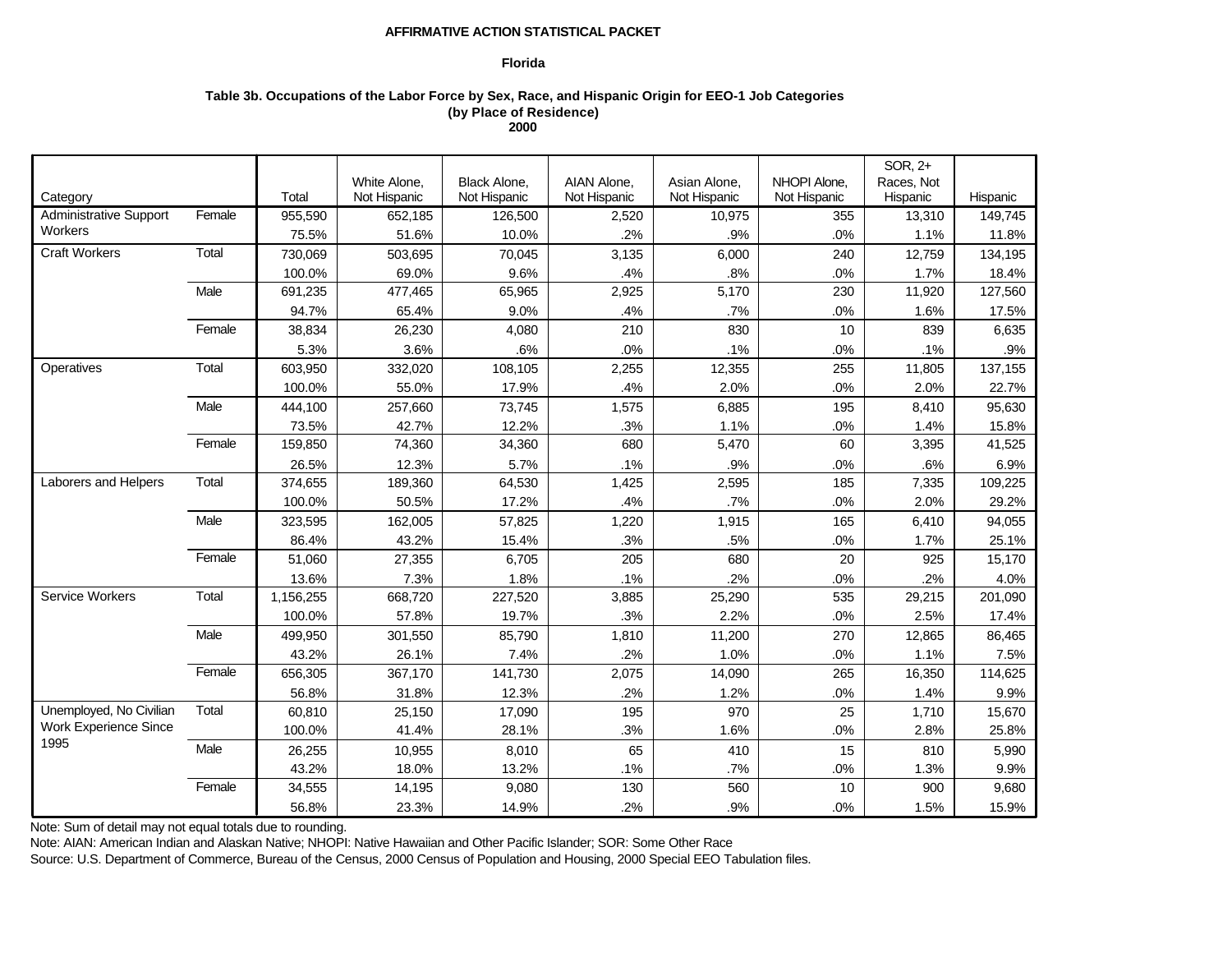## **Florida**

# **Table 3b. Occupations of the Labor Force by Sex, Race, and Hispanic Origin for EEO-1 Job Categories (by Place of Residence) 2000**

|                               |        |           |              |              |              |              |              | SOR, 2+    |          |
|-------------------------------|--------|-----------|--------------|--------------|--------------|--------------|--------------|------------|----------|
|                               |        |           | White Alone, | Black Alone, | AIAN Alone,  | Asian Alone, | NHOPI Alone. | Races, Not |          |
| Category                      |        | Total     | Not Hispanic | Not Hispanic | Not Hispanic | Not Hispanic | Not Hispanic | Hispanic   | Hispanic |
| <b>Administrative Support</b> | Female | 955,590   | 652,185      | 126,500      | 2,520        | 10,975       | 355          | 13,310     | 149,745  |
| Workers                       |        | 75.5%     | 51.6%        | 10.0%        | .2%          | .9%          | .0%          | 1.1%       | 11.8%    |
| <b>Craft Workers</b>          | Total  | 730,069   | 503,695      | 70,045       | 3,135        | 6,000        | 240          | 12,759     | 134,195  |
|                               |        | 100.0%    | 69.0%        | 9.6%         | .4%          | .8%          | .0%          | 1.7%       | 18.4%    |
|                               | Male   | 691,235   | 477,465      | 65,965       | 2,925        | 5,170        | 230          | 11,920     | 127,560  |
|                               |        | 94.7%     | 65.4%        | 9.0%         | .4%          | .7%          | .0%          | 1.6%       | 17.5%    |
|                               | Female | 38,834    | 26,230       | 4,080        | 210          | 830          | 10           | 839        | 6,635    |
|                               |        | 5.3%      | 3.6%         | .6%          | .0%          | .1%          | .0%          | .1%        | .9%      |
| Operatives                    | Total  | 603,950   | 332,020      | 108,105      | 2,255        | 12,355       | 255          | 11,805     | 137,155  |
|                               |        | 100.0%    | 55.0%        | 17.9%        | .4%          | 2.0%         | .0%          | 2.0%       | 22.7%    |
|                               | Male   | 444,100   | 257,660      | 73,745       | 1,575        | 6,885        | 195          | 8,410      | 95,630   |
|                               |        | 73.5%     | 42.7%        | 12.2%        | .3%          | 1.1%         | .0%          | 1.4%       | 15.8%    |
|                               | Female | 159,850   | 74,360       | 34,360       | 680          | 5,470        | 60           | 3,395      | 41,525   |
|                               |        | 26.5%     | 12.3%        | 5.7%         | .1%          | .9%          | .0%          | .6%        | 6.9%     |
| Laborers and Helpers          | Total  | 374,655   | 189,360      | 64,530       | 1,425        | 2,595        | 185          | 7,335      | 109,225  |
|                               |        | 100.0%    | 50.5%        | 17.2%        | .4%          | .7%          | .0%          | 2.0%       | 29.2%    |
|                               | Male   | 323,595   | 162,005      | 57,825       | 1,220        | 1,915        | 165          | 6,410      | 94,055   |
|                               |        | 86.4%     | 43.2%        | 15.4%        | .3%          | .5%          | .0%          | 1.7%       | 25.1%    |
|                               | Female | 51,060    | 27,355       | 6,705        | 205          | 680          | 20           | 925        | 15,170   |
|                               |        | 13.6%     | 7.3%         | 1.8%         | .1%          | .2%          | .0%          | .2%        | 4.0%     |
| Service Workers               | Total  | 1,156,255 | 668,720      | 227,520      | 3,885        | 25,290       | 535          | 29,215     | 201,090  |
|                               |        | 100.0%    | 57.8%        | 19.7%        | .3%          | 2.2%         | .0%          | 2.5%       | 17.4%    |
|                               | Male   | 499,950   | 301,550      | 85,790       | 1,810        | 11,200       | 270          | 12,865     | 86,465   |
|                               |        | 43.2%     | 26.1%        | 7.4%         | .2%          | 1.0%         | .0%          | 1.1%       | 7.5%     |
|                               | Female | 656,305   | 367,170      | 141,730      | 2,075        | 14,090       | 265          | 16,350     | 114,625  |
|                               |        | 56.8%     | 31.8%        | 12.3%        | .2%          | 1.2%         | .0%          | 1.4%       | 9.9%     |
| Unemployed, No Civilian       | Total  | 60,810    | 25,150       | 17,090       | 195          | 970          | 25           | 1,710      | 15,670   |
| <b>Work Experience Since</b>  |        | 100.0%    | 41.4%        | 28.1%        | .3%          | 1.6%         | .0%          | 2.8%       | 25.8%    |
| 1995                          | Male   | 26,255    | 10,955       | 8,010        | 65           | 410          | 15           | 810        | 5,990    |
|                               |        | 43.2%     | 18.0%        | 13.2%        | .1%          | .7%          | .0%          | 1.3%       | 9.9%     |
|                               | Female | 34,555    | 14,195       | 9,080        | 130          | 560          | 10           | 900        | 9,680    |
|                               |        | 56.8%     | 23.3%        | 14.9%        | .2%          | .9%          | .0%          | 1.5%       | 15.9%    |

Note: Sum of detail may not equal totals due to rounding.

Note: AIAN: American Indian and Alaskan Native; NHOPI: Native Hawaiian and Other Pacific Islander; SOR: Some Other Race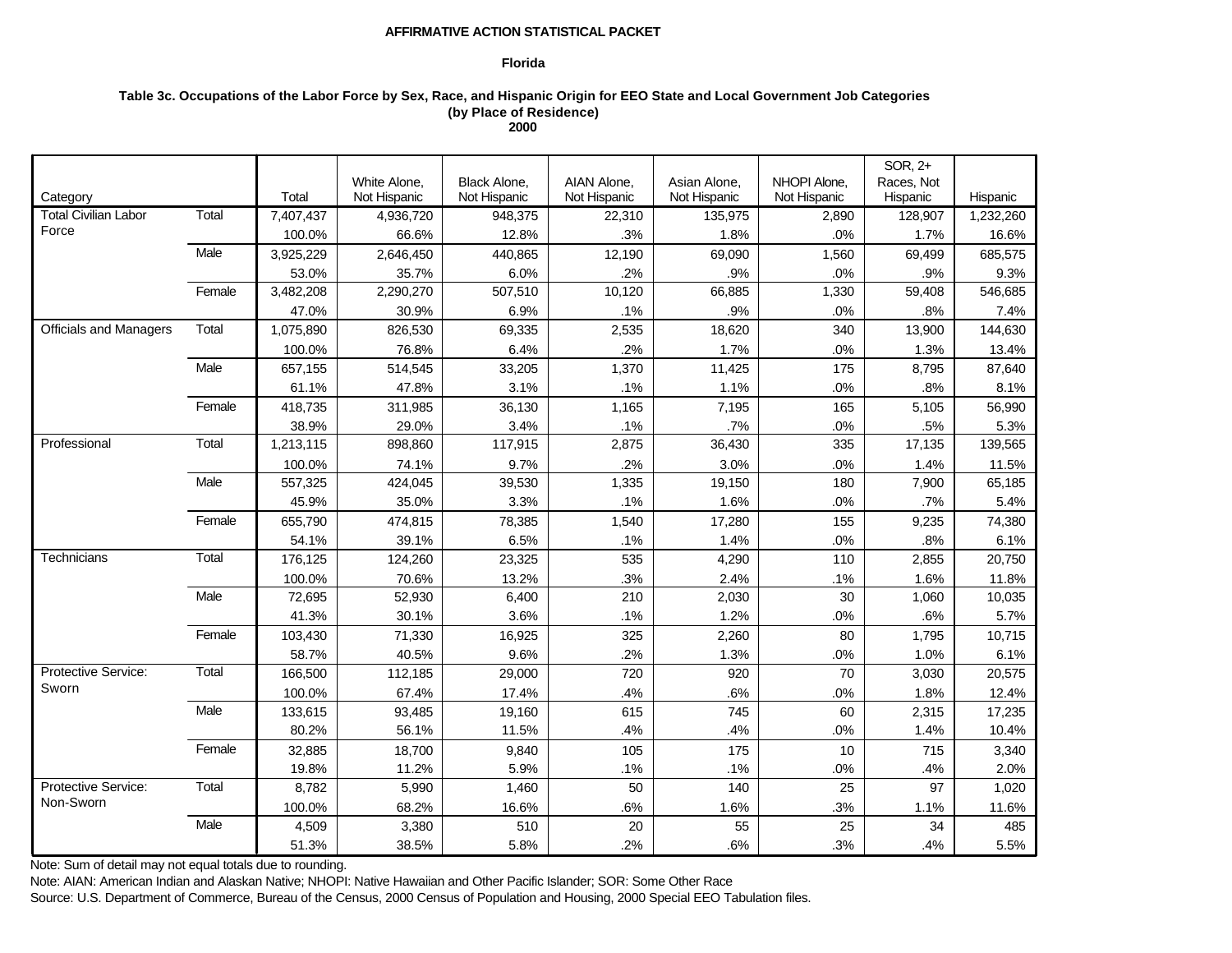## **Florida**

# **Table 3c. Occupations of the Labor Force by Sex, Race, and Hispanic Origin for EEO State and Local Government Job Categories (by Place of Residence) 2000**

|                               |        |           |              |                     |              |              |              | SOR, 2+    |           |
|-------------------------------|--------|-----------|--------------|---------------------|--------------|--------------|--------------|------------|-----------|
|                               |        |           | White Alone, | <b>Black Alone,</b> | AIAN Alone,  | Asian Alone, | NHOPI Alone, | Races, Not |           |
| Category                      |        | Total     | Not Hispanic | Not Hispanic        | Not Hispanic | Not Hispanic | Not Hispanic | Hispanic   | Hispanic  |
| <b>Total Civilian Labor</b>   | Total  | 7,407,437 | 4,936,720    | 948,375             | 22,310       | 135,975      | 2,890        | 128,907    | 1,232,260 |
| Force                         |        | 100.0%    | 66.6%        | 12.8%               | .3%          | 1.8%         | .0%          | 1.7%       | 16.6%     |
|                               | Male   | 3,925,229 | 2,646,450    | 440,865             | 12,190       | 69,090       | 1,560        | 69,499     | 685,575   |
|                               |        | 53.0%     | 35.7%        | 6.0%                | .2%          | .9%          | .0%          | .9%        | 9.3%      |
|                               | Female | 3,482,208 | 2,290,270    | 507,510             | 10,120       | 66,885       | 1,330        | 59,408     | 546,685   |
|                               |        | 47.0%     | 30.9%        | 6.9%                | .1%          | .9%          | .0%          | .8%        | 7.4%      |
| <b>Officials and Managers</b> | Total  | 1,075,890 | 826,530      | 69,335              | 2,535        | 18,620       | 340          | 13,900     | 144,630   |
|                               |        | 100.0%    | 76.8%        | 6.4%                | .2%          | 1.7%         | .0%          | 1.3%       | 13.4%     |
|                               | Male   | 657,155   | 514,545      | 33,205              | 1,370        | 11,425       | 175          | 8,795      | 87,640    |
|                               |        | 61.1%     | 47.8%        | 3.1%                | .1%          | 1.1%         | .0%          | .8%        | 8.1%      |
|                               | Female | 418,735   | 311,985      | 36,130              | 1,165        | 7,195        | 165          | 5,105      | 56,990    |
|                               |        | 38.9%     | 29.0%        | 3.4%                | .1%          | .7%          | .0%          | .5%        | 5.3%      |
| Professional                  | Total  | 1,213,115 | 898,860      | 117,915             | 2,875        | 36,430       | 335          | 17,135     | 139,565   |
|                               |        | 100.0%    | 74.1%        | 9.7%                | .2%          | 3.0%         | .0%          | 1.4%       | 11.5%     |
|                               | Male   | 557,325   | 424,045      | 39,530              | 1,335        | 19,150       | 180          | 7,900      | 65,185    |
|                               |        | 45.9%     | 35.0%        | 3.3%                | .1%          | 1.6%         | .0%          | .7%        | 5.4%      |
|                               | Female | 655,790   | 474,815      | 78,385              | 1,540        | 17,280       | 155          | 9,235      | 74,380    |
|                               |        | 54.1%     | 39.1%        | 6.5%                | .1%          | 1.4%         | .0%          | .8%        | 6.1%      |
| Technicians                   | Total  | 176,125   | 124,260      | 23,325              | 535          | 4,290        | 110          | 2,855      | 20,750    |
|                               |        | 100.0%    | 70.6%        | 13.2%               | .3%          | 2.4%         | .1%          | 1.6%       | 11.8%     |
|                               | Male   | 72,695    | 52,930       | 6,400               | 210          | 2,030        | 30           | 1,060      | 10,035    |
|                               |        | 41.3%     | 30.1%        | 3.6%                | .1%          | 1.2%         | .0%          | .6%        | 5.7%      |
|                               | Female | 103,430   | 71,330       | 16,925              | 325          | 2,260        | 80           | 1,795      | 10,715    |
|                               |        | 58.7%     | 40.5%        | 9.6%                | .2%          | 1.3%         | .0%          | 1.0%       | 6.1%      |
| Protective Service:           | Total  | 166,500   | 112,185      | 29,000              | 720          | 920          | 70           | 3,030      | 20,575    |
| Sworn                         |        | 100.0%    | 67.4%        | 17.4%               | .4%          | .6%          | $.0\%$       | 1.8%       | 12.4%     |
|                               | Male   | 133,615   | 93,485       | 19,160              | 615          | 745          | 60           | 2,315      | 17,235    |
|                               |        | 80.2%     | 56.1%        | 11.5%               | .4%          | .4%          | .0%          | 1.4%       | 10.4%     |
|                               | Female | 32,885    | 18,700       | 9,840               | 105          | 175          | 10           | 715        | 3,340     |
|                               |        | 19.8%     | 11.2%        | 5.9%                | .1%          | .1%          | .0%          | .4%        | 2.0%      |
| Protective Service:           | Total  | 8,782     | 5,990        | 1,460               | 50           | 140          | 25           | 97         | 1,020     |
| Non-Sworn                     |        | 100.0%    | 68.2%        | 16.6%               | .6%          | 1.6%         | .3%          | 1.1%       | 11.6%     |
|                               | Male   | 4,509     | 3,380        | 510                 | 20           | 55           | 25           | 34         | 485       |
|                               |        | 51.3%     | 38.5%        | 5.8%                | .2%          | .6%          | .3%          | .4%        | 5.5%      |

Note: Sum of detail may not equal totals due to rounding.

Note: AIAN: American Indian and Alaskan Native; NHOPI: Native Hawaiian and Other Pacific Islander; SOR: Some Other Race